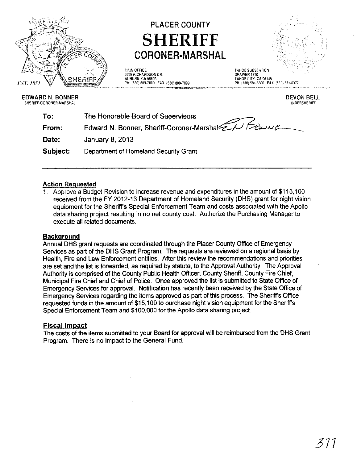

## PLACER COUNTY **SHERIFF**  CORONER· MARSHAL



**MAIN OFFICE** 2929 RICHARDSON DR AUBURN, CA 95603 PH: (530) 889-7800 FAX: (530) 889-7899

TAHOE SUBSTATION DRAWER 1710 TAHOE CITY, CA 96145 PH: (530) 581-6300 FAX: (530) 581-6377 .<br>The value of the contract is a contract process .<br>The first party in the company of the contract of the contract of the contract of the contract of the contract

EDWARD N. BONNER SHERIFF-CORONER-MARSHAL

DEVON BEll UNDERSHERIFF

| Edward N. Bonner, Sheriff-Coroner-Marshal ENGLA |
|-------------------------------------------------|
|                                                 |
|                                                 |
|                                                 |

## Action Requested

1. Approve a Budget Revision to increase revenue and expenditures in the amount of \$115,100 received from the FY 2012-13 Department of Homeland Security (DHS) grant for night vision equipment for the Sheriffs Special Enforcement Team and costs associated with the Apollo data sharing project resulting in no net county cost. Authorize the Purchasing Manager to execute all related documents.

## **Background**

Annual DHS grant requests are coordinated through the Placer County Office of Emergency Services as part of the DHS Grant Program. The requests are reviewed on a regional basis by Health, Fire and Law Enforcement entities. After this review the recommendations and priorities are set and the list is forwarded, as required by statute, to the Approval Authority. The Approval Authority is comprised of the County Public Health Officer, County Sheriff, County Fire Chief, Municipal Fire Chief and Chief of Police. Once approved the list is submitted to State Office of Emergency Services for approval. Notification has recently been received by the State Office of Emergency Services regarding the items approved as part of this process. The Sheriffs Office requested funds in the amount of \$15,100 to purchase night vision equipment for the Sheriff's Special Enforcement Team and \$100,000 for the Apollo data sharing project.

## Fiscal Impact

The costs of the items submitted to your Board for approval will be reimbursed from the DHS Grant Program. There is no impact to the General Fund.